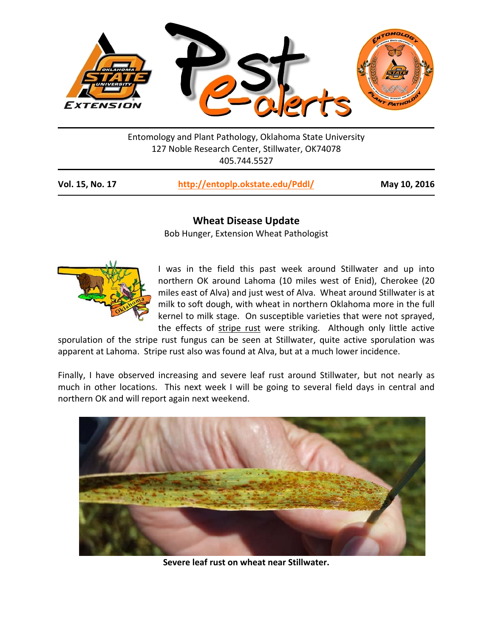

Entomology and Plant Pathology, Oklahoma State University 127 Noble Research Center, Stillwater, OK74078 405.744.5527

| Vol. 15, No. 17<br>http://entoplp.okstate.edu/Pddl/ | May 10, 2016 |
|-----------------------------------------------------|--------------|
|-----------------------------------------------------|--------------|

## **Wheat Disease Update**

Bob Hunger, Extension Wheat Pathologist



I was in the field this past week around Stillwater and up into northern OK around Lahoma (10 miles west of Enid), Cherokee (20 miles east of Alva) and just west of Alva. Wheat around Stillwater is at milk to soft dough, with wheat in northern Oklahoma more in the full kernel to milk stage. On susceptible varieties that were not sprayed, the effects of stripe rust were striking. Although only little active

sporulation of the stripe rust fungus can be seen at Stillwater, quite active sporulation was apparent at Lahoma. Stripe rust also was found at Alva, but at a much lower incidence.

Finally, I have observed increasing and severe leaf rust around Stillwater, but not nearly as much in other locations. This next week I will be going to several field days in central and northern OK and will report again next weekend.



**Severe leaf rust on wheat near Stillwater.**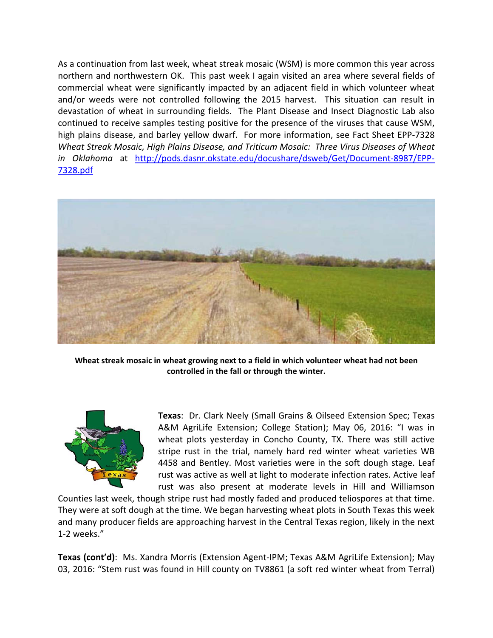As a continuation from last week, wheat streak mosaic (WSM) is more common this year across northern and northwestern OK. This past week I again visited an area where several fields of commercial wheat were significantly impacted by an adjacent field in which volunteer wheat and/or weeds were not controlled following the 2015 harvest. This situation can result in devastation of wheat in surrounding fields. The Plant Disease and Insect Diagnostic Lab also continued to receive samples testing positive for the presence of the viruses that cause WSM, high plains disease, and barley yellow dwarf. For more information, see Fact Sheet EPP-7328 *Wheat Streak Mosaic, High Plains Disease, and Triticum Mosaic: Three Virus Diseases of Wheat in Oklahoma* at http://pods.dasnr.okstate.edu/docushare/dsweb/Get/Document‐8987/EPP‐ 7328.pdf



**Wheat streak mosaic in wheat growing next to a field in which volunteer wheat had not been controlled in the fall or through the winter.** 



**Texas**: Dr. Clark Neely (Small Grains & Oilseed Extension Spec; Texas A&M AgriLife Extension; College Station); May 06, 2016: "I was in wheat plots vesterday in Concho County, TX. There was still active stripe rust in the trial, namely hard red winter wheat varieties WB 4458 and Bentley. Most varieties were in the soft dough stage. Leaf rust was active as well at light to moderate infection rates. Active leaf rust was also present at moderate levels in Hill and Williamson

Counties last week, though stripe rust had mostly faded and produced teliospores at that time. They were at soft dough at the time. We began harvesting wheat plots in South Texas this week and many producer fields are approaching harvest in the Central Texas region, likely in the next 1‐2 weeks."

**Texas (cont'd)**: Ms. Xandra Morris (Extension Agent‐IPM; Texas A&M AgriLife Extension); May 03, 2016: "Stem rust was found in Hill county on TV8861 (a soft red winter wheat from Terral)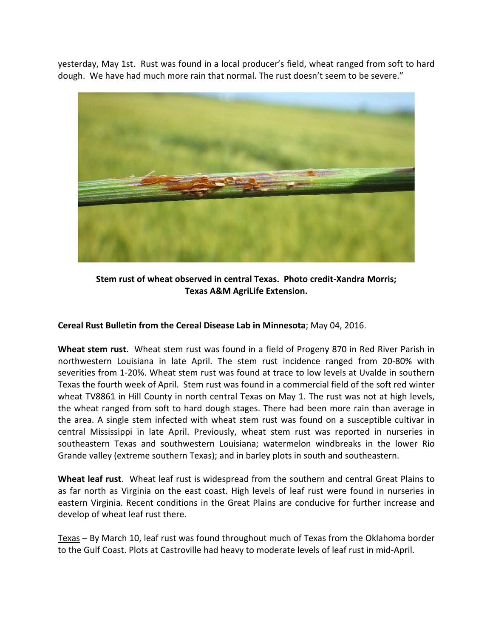yesterday, May 1st. Rust was found in a local producer's field, wheat ranged from soft to hard dough. We have had much more rain that normal. The rust doesn't seem to be severe."



**Stem rust of wheat observed in central Texas. Photo credit‐Xandra Morris; Texas A&M AgriLife Extension.** 

**Cereal Rust Bulletin from the Cereal Disease Lab in Minnesota**; May 04, 2016.

**Wheat stem rust**. Wheat stem rust was found in a field of Progeny 870 in Red River Parish in northwestern Louisiana in late April. The stem rust incidence ranged from 20‐80% with severities from 1‐20%. Wheat stem rust was found at trace to low levels at Uvalde in southern Texas the fourth week of April. Stem rust was found in a commercial field of the soft red winter wheat TV8861 in Hill County in north central Texas on May 1. The rust was not at high levels, the wheat ranged from soft to hard dough stages. There had been more rain than average in the area. A single stem infected with wheat stem rust was found on a susceptible cultivar in central Mississippi in late April. Previously, wheat stem rust was reported in nurseries in southeastern Texas and southwestern Louisiana; watermelon windbreaks in the lower Rio Grande valley (extreme southern Texas); and in barley plots in south and southeastern.

**Wheat leaf rust**. Wheat leaf rust is widespread from the southern and central Great Plains to as far north as Virginia on the east coast. High levels of leaf rust were found in nurseries in eastern Virginia. Recent conditions in the Great Plains are conducive for further increase and develop of wheat leaf rust there.

Texas – By March 10, leaf rust was found throughout much of Texas from the Oklahoma border to the Gulf Coast. Plots at Castroville had heavy to moderate levels of leaf rust in mid‐April.